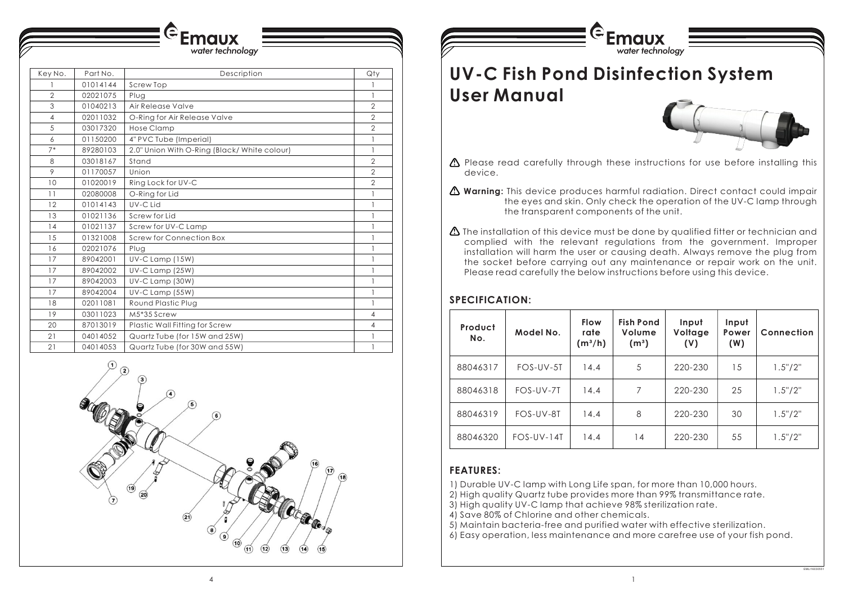

# **SPECIFICATION:**

| Product<br>No. | Model No.    | <b>Flow</b><br>rate<br>$(m^3/h)$ | <b>Fish Pond</b><br>Volume<br>(m <sup>3</sup> ) | Input<br>Voltage<br>(V) | Input<br>Power<br>(W) | Connection |
|----------------|--------------|----------------------------------|-------------------------------------------------|-------------------------|-----------------------|------------|
| 88046317       | FOS-UV-5T    | 14.4                             | 5                                               | 220-230                 | 15                    | 1.5''/2''  |
| 88046318       | FOS-UV-7T    | 14.4                             | 7                                               | 220-230                 | 25                    | 1.5''/2''  |
| 88046319       | FOS-UV-8T    | 14.4                             | 8                                               | 220-230                 | 30                    | 1.5''/2''  |
| 88046320       | $FOS-UV-14T$ | 14.4                             | 14                                              | 220-230                 | 55                    | 1.5''/2''  |

- 1) Durable UV-C lamp with Long Life span, for more than 10,000 hours.
- 2) High quality Quartz tube provides more than 99% transmittance rate.
- 3) High quality UV-C lamp that achieve 98% sterilization rate.
- 4) Save 80% of Chlorine and other chemicals.
- 5) Maintain bacteria-free and purified water with effective sterilization.
- 6) Easy operation, less maintenance and more carefree use of your fish pond.

# **FEATURES:**

the eyes and skin. Only check the operation of the UV-C lamp through

- Please read carefully through these instructions for use before installing this **!** device.
- **Warning:** This device produces harmful radiation. Direct contact could impair **!** the transparent components of the unit.
- The installation of this device must be done by qualified fitter or technician and **!** Please read carefully the below instructions before using this device.

complied with the relevant regulations from the government. Improper installation will harm the user or causing death. Always remove the plug from the socket before carrying out any maintenance or repair work on the unit.

| Key No.        | Part No. | Description                                  | Qty                                   |
|----------------|----------|----------------------------------------------|---------------------------------------|
|                | 01014144 | <b>Screw Top</b>                             |                                       |
| $\overline{2}$ | 02021075 | Plug                                         | $\mathbf{1}$                          |
| 3              | 01040213 | Air Release Valve                            | $\overline{2}$                        |
| $\overline{4}$ | 02011032 | O-Ring for Air Release Valve                 | $\overline{2}$                        |
| 5              | 03017320 | <b>Hose Clamp</b>                            | $\overline{2}$                        |
| 6              | 01150200 | 4" PVC Tube (Imperial)                       | $\begin{array}{c} \hline \end{array}$ |
| $7*$           | 89280103 | 2.0" Union With O-Ring (Black/ White colour) | $\mathbf{1}$                          |
| 8              | 03018167 | Stand                                        | $\overline{2}$                        |
| 9              | 01170057 | Union                                        | $\overline{2}$                        |
| 10             | 01020019 | Ring Lock for UV-C                           | $\overline{2}$                        |
| 11             | 02080008 | O-Ring for Lid                               | $\mathbf{I}$                          |
| 12             | 01014143 | UV-C Lid                                     | $\mathbf{I}$                          |
| 13             | 01021136 | Screw for Lid                                | 1                                     |
| 14             | 01021137 | Screw for UV-C Lamp                          | $\mathbf{1}$                          |
| 15             | 01321008 | <b>Screw for Connection Box</b>              | 1                                     |
| 16             | 02021076 | Plug                                         | $\mathbf{I}$                          |
| 17             | 89042001 | UV-C Lamp (15W)                              | $\mathbf{1}$                          |
| 17             | 89042002 | UV-C Lamp (25W)                              | 1                                     |
| 17             | 89042003 | UV-C Lamp (30W)                              | 1                                     |
| 17             | 89042004 | UV-C Lamp (55W)                              | $\mathbf{1}$                          |
| 18             | 02011081 | Round Plastic Plug                           | $\mathbf{I}$                          |
| 19             | 03011023 | M5*35 Screw                                  | $\overline{4}$                        |
| 20             | 87013019 | Plastic Wall Fitting for Screw               | $\overline{4}$                        |
| 21             | 04014052 | Quartz Tube (for 15W and 25W)                | $\mathbf{1}$                          |
| 21             | 04014053 | Quartz Tube (for 30W and 55W)                | 1                                     |

water technology